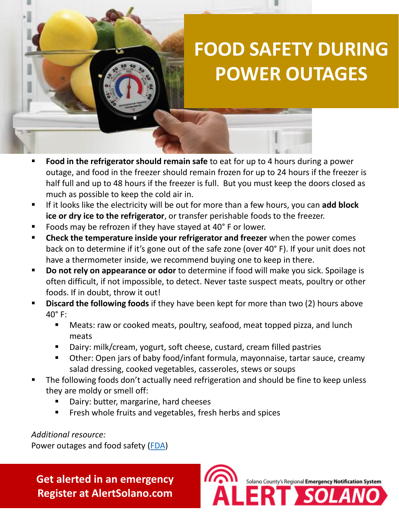## **FOOD SAFETY DURING POWER OUTAGES**

- **Food in the refrigerator should remain safe** to eat for up to 4 hours during a power outage, and food in the freezer should remain frozen for up to 24 hours if the freezer is half full and up to 48 hours if the freezer is full. But you must keep the doors closed as much as possible to keep the cold air in.
- If it looks like the electricity will be out for more than a few hours, you can **add block ice or dry ice to the refrigerator**, or transfer perishable foods to the freezer.
- Foods may be refrozen if they have stayed at 40° F or lower.
- **EXP** Check the temperature inside your refrigerator and freezer when the power comes back on to determine if it's gone out of the safe zone (over 40° F). If your unit does not have a thermometer inside, we recommend buying one to keep in there.
- **Do not rely on appearance or odor** to determine if food will make you sick. Spoilage is often difficult, if not impossible, to detect. Never taste suspect meats, poultry or other foods. If in doubt, throw it out!
- **Discard the following foods** if they have been kept for more than two (2) hours above 40° F:
	- Meats: raw or cooked meats, poultry, seafood, meat topped pizza, and lunch meats
	- Dairy: milk/cream, yogurt, soft cheese, custard, cream filled pastries
	- Other: Open jars of baby food/infant formula, mayonnaise, tartar sauce, creamy salad dressing, cooked vegetables, casseroles, stews or soups
- The following foods don't actually need refrigeration and should be fine to keep unless they are moldy or smell off:
	- Dairy: butter, margarine, hard cheeses
	- Fresh whole fruits and vegetables, fresh herbs and spices

*Additional resource:*

Power outages and food safety ([FDA\)](https://www.fda.gov/food/buy-store-serve-safe-food/food-and-water-safety-during-power-outages-and-floods)

**Get alerted in an emergency Register at AlertSolano.com**